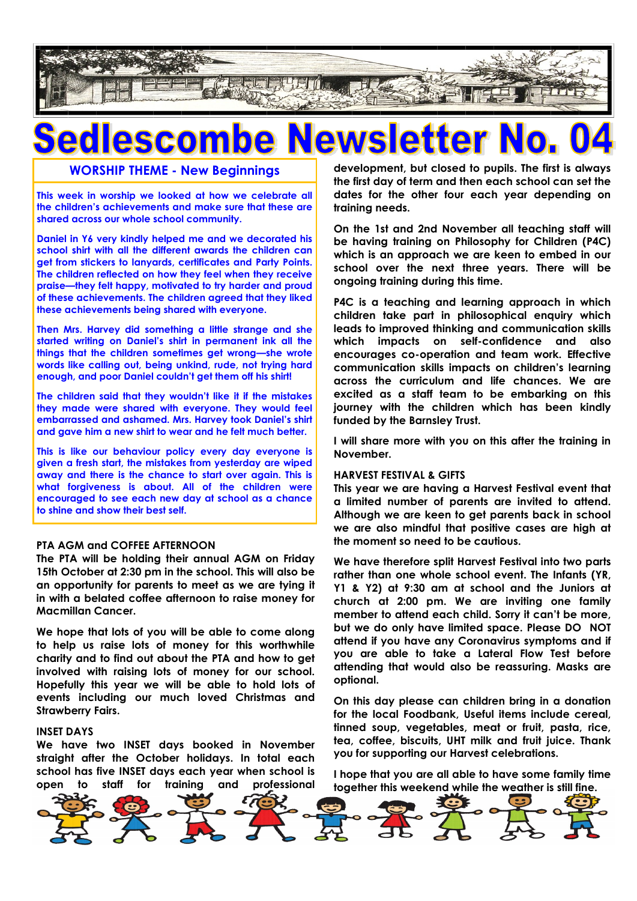

## CO

#### **WORSHIP THEME - New Beginnings**

**This week in worship we looked at how we celebrate all the children's achievements and make sure that these are shared across our whole school community.**

**Daniel in Y6 very kindly helped me and we decorated his school shirt with all the different awards the children can get from stickers to lanyards, certificates and Party Points. The children reflected on how they feel when they receive praise—they felt happy, motivated to try harder and proud of these achievements. The children agreed that they liked these achievements being shared with everyone.**

**Then Mrs. Harvey did something a little strange and she started writing on Daniel's shirt in permanent ink all the things that the children sometimes get wrong—she wrote words like calling out, being unkind, rude, not trying hard enough, and poor Daniel couldn't get them off his shirt!**

**The children said that they wouldn't like it if the mistakes they made were shared with everyone. They would feel embarrassed and ashamed. Mrs. Harvey took Daniel's shirt and gave him a new shirt to wear and he felt much better.**

**This is like our behaviour policy every day everyone is given a fresh start, the mistakes from yesterday are wiped away and there is the chance to start over again. This is what forgiveness is about. All of the children were encouraged to see each new day at school as a chance to shine and show their best self.** 

#### **PTA AGM and COFFEE AFTERNOON**

**The PTA will be holding their annual AGM on Friday 15th October at 2:30 pm in the school. This will also be an opportunity for parents to meet as we are tying it in with a belated coffee afternoon to raise money for Macmillan Cancer.**

**We hope that lots of you will be able to come along to help us raise lots of money for this worthwhile charity and to find out about the PTA and how to get involved with raising lots of money for our school. Hopefully this year we will be able to hold lots of events including our much loved Christmas and Strawberry Fairs.** 

#### **INSET DAYS**

**We have two INSET days booked in November straight after the October holidays. In total each school has five INSET days each year when school is open to staff for training and professional**  **development, but closed to pupils. The first is always the first day of term and then each school can set the dates for the other four each year depending on training needs.**

**On the 1st and 2nd November all teaching staff will be having training on Philosophy for Children (P4C) which is an approach we are keen to embed in our school over the next three years. There will be ongoing training during this time.** 

**P4C is a teaching and learning approach in which children take part in philosophical enquiry which leads to improved thinking and communication skills which impacts on self-confidence and also encourages co-operation and team work. Effective communication skills impacts on children's learning across the curriculum and life chances. We are excited as a staff team to be embarking on this journey with the children which has been kindly funded by the Barnsley Trust.**

**I will share more with you on this after the training in November.**

#### **HARVEST FESTIVAL & GIFTS**

**This year we are having a Harvest Festival event that a limited number of parents are invited to attend. Although we are keen to get parents back in school we are also mindful that positive cases are high at the moment so need to be cautious.**

**We have therefore split Harvest Festival into two parts rather than one whole school event. The Infants (YR, Y1 & Y2) at 9:30 am at school and the Juniors at church at 2:00 pm. We are inviting one family member to attend each child. Sorry it can't be more, but we do only have limited space. Please DO NOT attend if you have any Coronavirus symptoms and if you are able to take a Lateral Flow Test before attending that would also be reassuring. Masks are optional.**

**On this day please can children bring in a donation for the local Foodbank, Useful items include cereal, tinned soup, vegetables, meat or fruit, pasta, rice, tea, coffee, biscuits, UHT milk and fruit juice. Thank you for supporting our Harvest celebrations.**

**I hope that you are all able to have some family time together this weekend while the weather is still fine.**